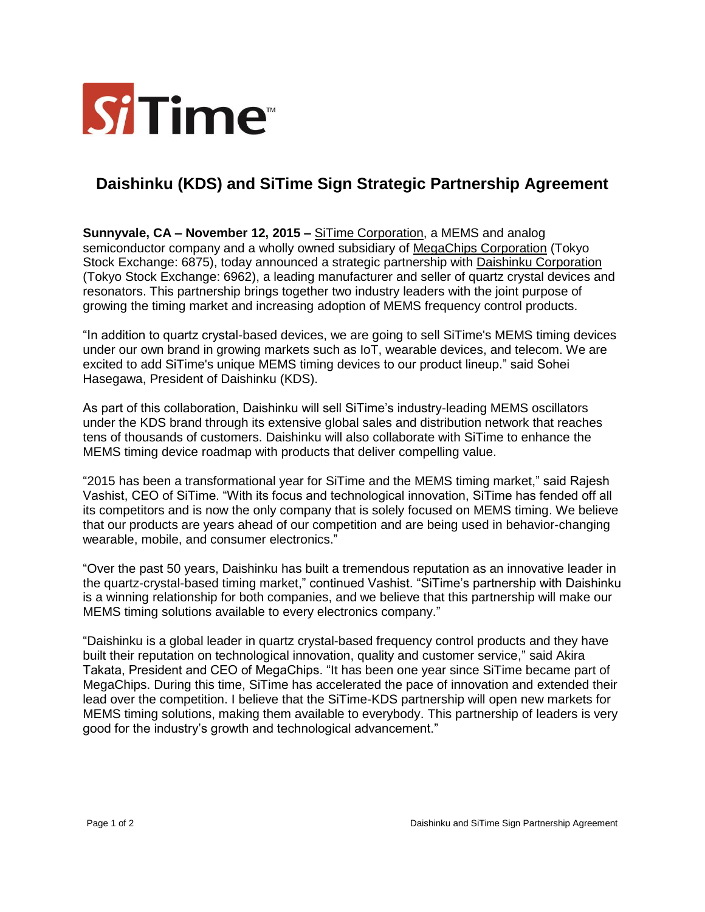

## **Daishinku (KDS) and SiTime Sign Strategic Partnership Agreement**

**Sunnyvale, CA – November 12, 2015 –** [SiTime Corporation,](http://www.sitime.com/) a MEMS and analog semiconductor company and a wholly owned subsidiary of [MegaChips Corporation](http://www.megachips.co.jp/english/index.html) (Tokyo Stock Exchange: 6875), today announced a strategic partnership with [Daishinku Corporation](https://www.kds.info/index_en.htm) (Tokyo Stock Exchange: 6962), a leading manufacturer and seller of quartz crystal devices and resonators. This partnership brings together two industry leaders with the joint purpose of growing the timing market and increasing adoption of MEMS frequency control products.

"In addition to quartz crystal-based devices, we are going to sell SiTime's MEMS timing devices under our own brand in growing markets such as IoT, wearable devices, and telecom. We are excited to add SiTime's unique MEMS timing devices to our product lineup." said Sohei Hasegawa, President of Daishinku (KDS).

As part of this collaboration, Daishinku will sell SiTime's industry-leading MEMS oscillators under the KDS brand through its extensive global sales and distribution network that reaches tens of thousands of customers. Daishinku will also collaborate with SiTime to enhance the MEMS timing device roadmap with products that deliver compelling value.

"2015 has been a transformational year for SiTime and the MEMS timing market," said Rajesh Vashist, CEO of SiTime. "With its focus and technological innovation, SiTime has fended off all its competitors and is now the only company that is solely focused on MEMS timing. We believe that our products are years ahead of our competition and are being used in behavior-changing wearable, mobile, and consumer electronics."

"Over the past 50 years, Daishinku has built a tremendous reputation as an innovative leader in the quartz-crystal-based timing market," continued Vashist. "SiTime's partnership with Daishinku is a winning relationship for both companies, and we believe that this partnership will make our MEMS timing solutions available to every electronics company."

"Daishinku is a global leader in quartz crystal-based frequency control products and they have built their reputation on technological innovation, quality and customer service," said Akira Takata, President and CEO of MegaChips. "It has been one year since SiTime became part of MegaChips. During this time, SiTime has accelerated the pace of innovation and extended their lead over the competition. I believe that the SiTime-KDS partnership will open new markets for MEMS timing solutions, making them available to everybody. This partnership of leaders is very good for the industry's growth and technological advancement."